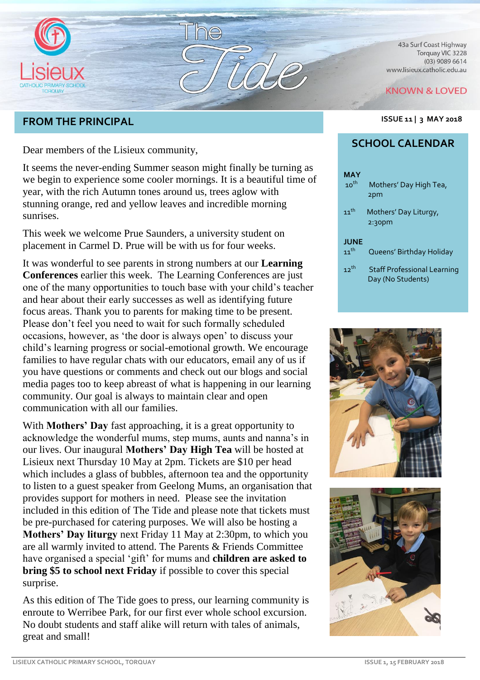

# **FROM THE PRINCIPAL ISSUE 11 | 3 MAY <sup>2018</sup>**

Dear members of the Lisieux community,

It seems the never-ending Summer season might finally be turning as we begin to experience some cooler mornings. It is a beautiful time of year, with the rich Autumn tones around us, trees aglow with stunning orange, red and yellow leaves and incredible morning sunrises.

This week we welcome Prue Saunders, a university student on placement in Carmel D. Prue will be with us for four weeks.

It was wonderful to see parents in strong numbers at our **Learning Conferences** earlier this week. The Learning Conferences are just one of the many opportunities to touch base with your child's teacher and hear about their early successes as well as identifying future focus areas. Thank you to parents for making time to be present. Please don't feel you need to wait for such formally scheduled occasions, however, as 'the door is always open' to discuss your child's learning progress or social-emotional growth. We encourage families to have regular chats with our educators, email any of us if you have questions or comments and check out our blogs and social media pages too to keep abreast of what is happening in our learning community. Our goal is always to maintain clear and open communication with all our families.

With **Mothers' Day** fast approaching, it is a great opportunity to acknowledge the wonderful mums, step mums, aunts and nanna's in our lives. Our inaugural **Mothers' Day High Tea** will be hosted at Lisieux next Thursday 10 May at 2pm. Tickets are \$10 per head which includes a glass of bubbles, afternoon tea and the opportunity to listen to a guest speaker from Geelong Mums, an organisation that provides support for mothers in need. Please see the invitation included in this edition of The Tide and please note that tickets must be pre-purchased for catering purposes. We will also be hosting a **Mothers' Day liturgy** next Friday 11 May at 2:30pm, to which you are all warmly invited to attend. The Parents & Friends Committee have organised a special 'gift' for mums and **children are asked to bring \$5 to school next Friday** if possible to cover this special surprise.

As this edition of The Tide goes to press, our learning community is enroute to Werribee Park, for our first ever whole school excursion. No doubt students and staff alike will return with tales of animals, great and small!

43a Surf Coast Highway Torquay VIC 3228  $(03)$  9089 6614 www.lisieux.catholic.edu.au

#### **KNOWN & LOVED**



# **SCHOOL CALENDAR**

| <b>MAY</b><br>$10^{th}$ | Mothers' Day High Tea,<br>2pm                           |
|-------------------------|---------------------------------------------------------|
| $11$ <sup>th</sup>      | Mothers' Day Liturgy,<br>2:30 <sub>pm</sub>             |
| <b>JUNE</b>             |                                                         |
| $11^{th}$               | Queens' Birthday Holiday                                |
| $12^{th}$               | <b>Staff Professional Learning</b><br>Day (No Students) |



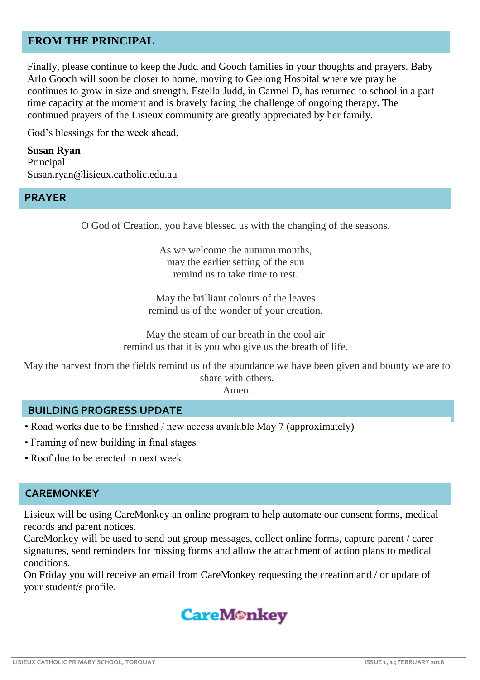### **FROM THE PRINCIPAL**

Finally, please continue to keep the Judd and Gooch families in your thoughts and prayers. Baby Arlo Gooch will soon be closer to home, moving to Geelong Hospital where we pray he continues to grow in size and strength. Estella Judd, in Carmel D, has returned to school in a part time capacity at the moment and is bravely facing the challenge of ongoing therapy. The continued prayers of the Lisieux community are greatly appreciated by her family.

God's blessings for the week ahead,

**Susan Ryan** Principal Susan.ryan@lisieux.catholic.edu.au

#### **PRAYER**

O God of Creation, you have blessed us with the changing of the seasons.

As we welcome the autumn months, may the earlier setting of the sun remind us to take time to rest.

May the brilliant colours of the leaves remind us of the wonder of your creation.

May the steam of our breath in the cool air remind us that it is you who give us the breath of life.

May the harvest from the fields remind us of the abundance we have been given and bounty we are to share with others.

Amen.

#### **BUILDING PROGRESS UPDATE**

- Road works due to be finished / new access available May 7 (approximately)
- Framing of new building in final stages
- Roof due to be erected in next week.

#### **CAREMONKEY**

Lisieux will be using CareMonkey an online program to help automate our consent forms, medical records and parent notices.

CareMonkey will be used to send out group messages, collect online forms, capture parent / carer signatures, send reminders for missing forms and allow the attachment of action plans to medical conditions.

On Friday you will receive an email from CareMonkey requesting the creation and / or update of your student/s profile.